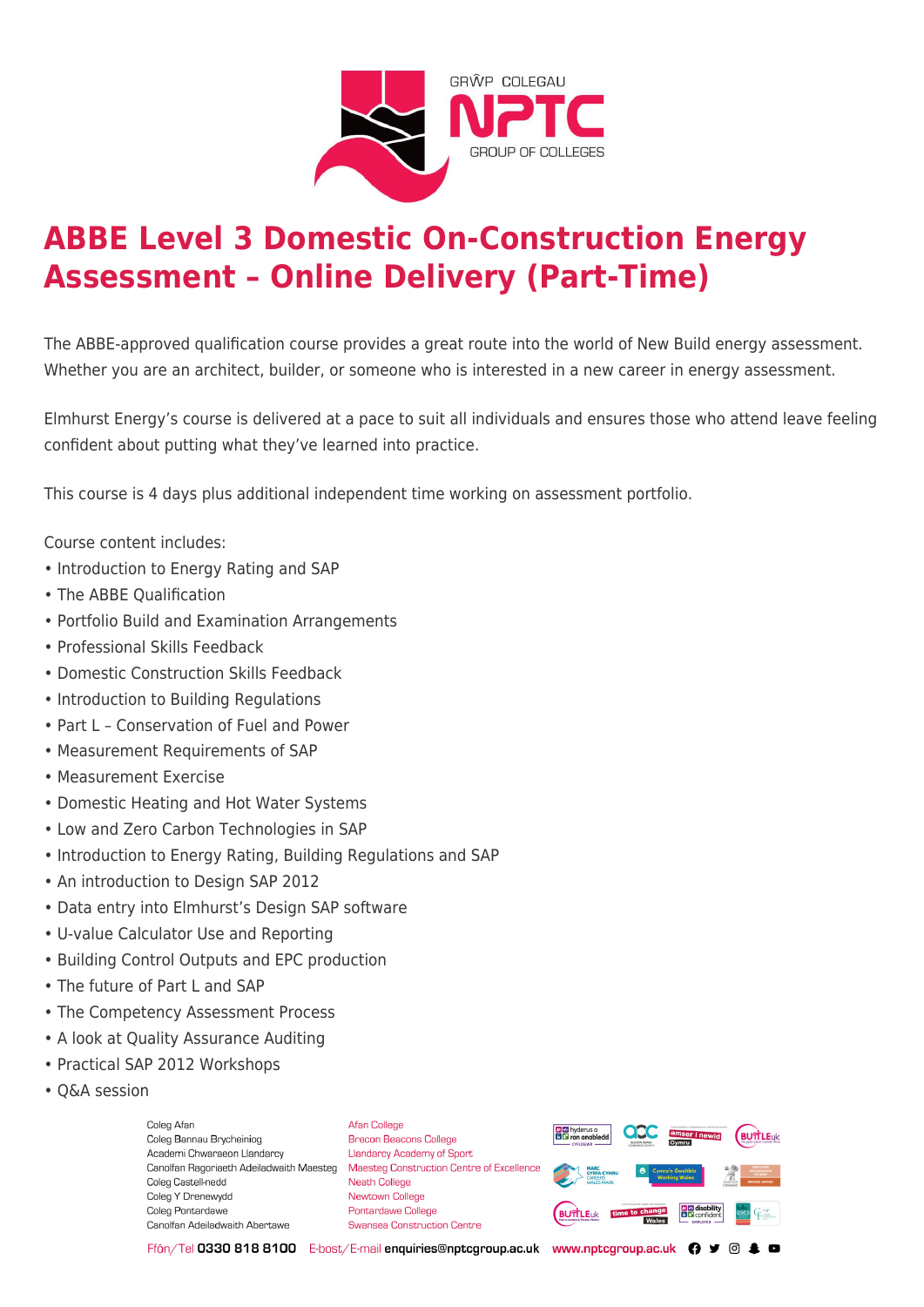

# **ABBE Level 3 Domestic On-Construction Energy Assessment – Online Delivery (Part-Time)**

The ABBE-approved qualification course provides a great route into the world of New Build energy assessment. Whether you are an architect, builder, or someone who is interested in a new career in energy assessment.

Elmhurst Energy's course is delivered at a pace to suit all individuals and ensures those who attend leave feeling confident about putting what they've learned into practice.

This course is 4 days plus additional independent time working on assessment portfolio.

Course content includes:

- Introduction to Energy Rating and SAP
- The ABBE Qualification
- Portfolio Build and Examination Arrangements
- Professional Skills Feedback
- Domestic Construction Skills Feedback
- Introduction to Building Regulations
- Part L Conservation of Fuel and Power
- Measurement Requirements of SAP
- Measurement Exercise
- Domestic Heating and Hot Water Systems
- Low and Zero Carbon Technologies in SAP
- Introduction to Energy Rating, Building Regulations and SAP
- An introduction to Design SAP 2012
- Data entry into Elmhurst's Design SAP software
- U-value Calculator Use and Reporting
- Building Control Outputs and EPC production
- The future of Part L and SAP
- The Competency Assessment Process
- A look at Quality Assurance Auditing
- Practical SAP 2012 Workshops
- Q&A session

Coleg Afar Coleg Bannau Brycheiniog Academi Chwaraeon Llandarcy Coleg Castell-nedd Coleg Y Drenewydd Coleg Pontardawe Canolfan Adeiladwaith Abertawe

**Afan College** Brecon Beacons College **Llandarcy Academy of Sport** Canolfan Ragoriaeth Adeiladwaith Maesteg Maesteg Construction Centre of Excellence Neath College Newtown College Pontardawe College Swansea Construction Centre



Ffôn/Tel 0330 818 8100 E-bost/E-mail enquiries@nptcgroup.ac.uk www.nptcgroup.ac.uk ? • © \$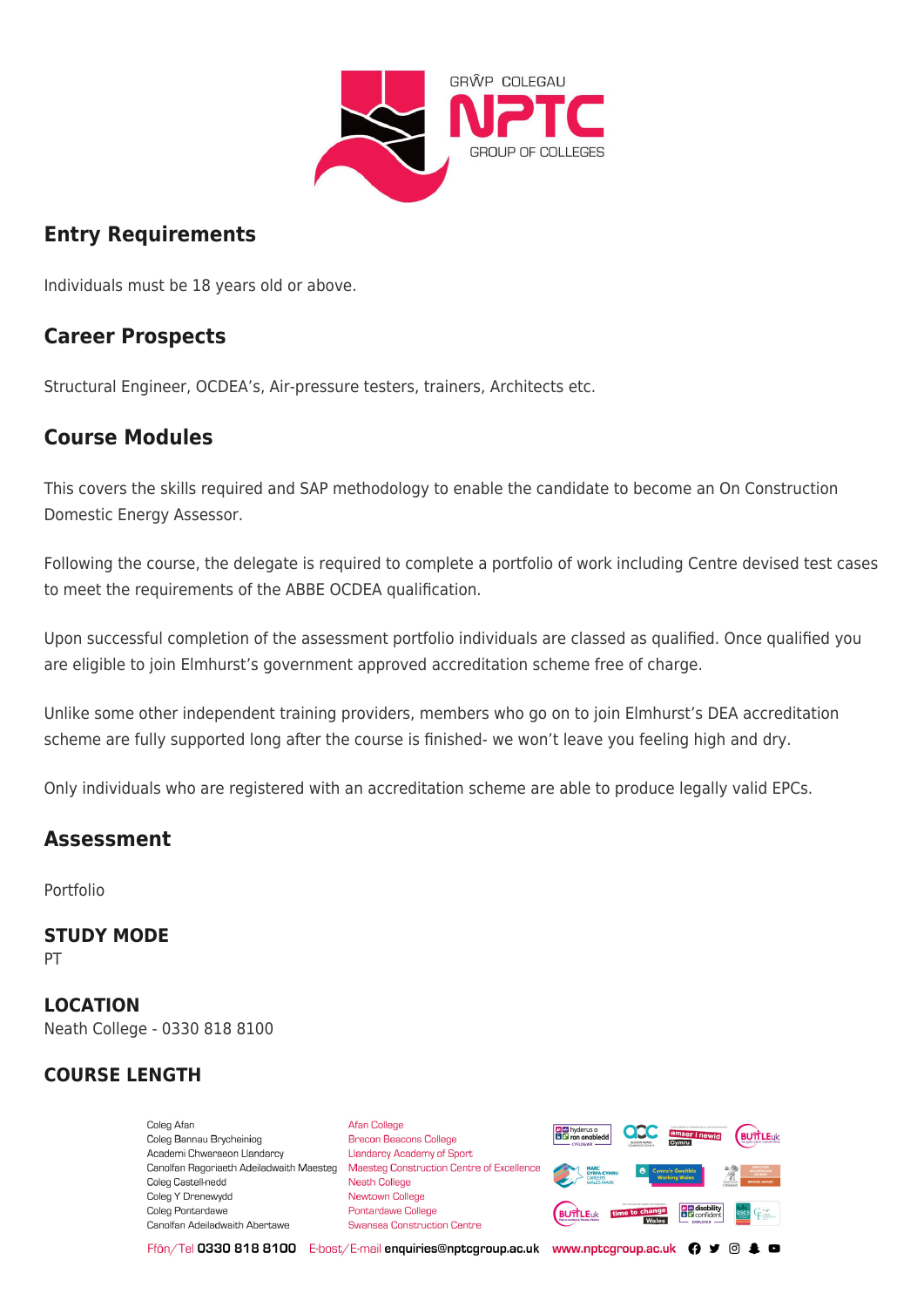

## **Entry Requirements**

Individuals must be 18 years old or above.

### **Career Prospects**

Structural Engineer, OCDEA's, Air-pressure testers, trainers, Architects etc.

### **Course Modules**

This covers the skills required and SAP methodology to enable the candidate to become an On Construction Domestic Energy Assessor.

Following the course, the delegate is required to complete a portfolio of work including Centre devised test cases to meet the requirements of the ABBE OCDEA qualification.

Upon successful completion of the assessment portfolio individuals are classed as qualified. Once qualified you are eligible to join Elmhurst's government approved accreditation scheme free of charge.

Unlike some other independent training providers, members who go on to join Elmhurst's DEA accreditation scheme are fully supported long after the course is finished- we won't leave you feeling high and dry.

Only individuals who are registered with an accreditation scheme are able to produce legally valid EPCs.

### **Assessment**

Portfolio

**STUDY MODE** PT

#### **LOCATION** Neath College - 0330 818 8100

### **COURSE LENGTH**

Coleg Afar Coleg Bannau Brycheiniog Academi Chwaraeon Llandarcy Coleg Castell-nedd Coleg Y Drenewydd Coleg Pontardawe Canolfan Adeiladwaith Abertawe

Afan College Brecon Beacons College **Llandarcy Academy of Sport** Canolfan Ragoriaeth Adeiladwaith Maesteg Maesteg Construction Centre of Excellence Neath College Newtown College Pontardawe College **Swansea Construction Centre** 



Ffôn/Tel 0330 818 8100 E-bost/E-mail enquiries@nptcgroup.ac.uk www.nptcgroup.ac.uk ? • © \$